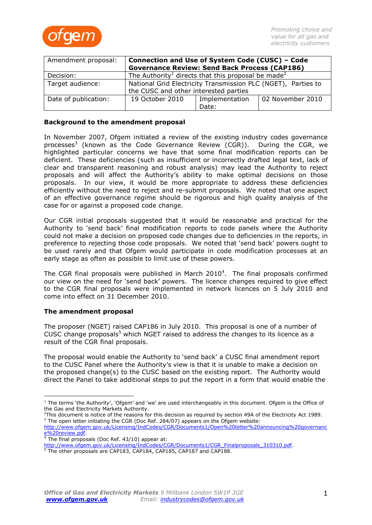

| Amendment proposal:  | Connection and Use of System Code (CUSC) - Code                            |                |                  |
|----------------------|----------------------------------------------------------------------------|----------------|------------------|
|                      | <b>Governance Review: Send Back Process (CAP186)</b>                       |                |                  |
| Decision:            | The Authority <sup>1</sup> directs that this proposal be made <sup>2</sup> |                |                  |
| Target audience:     | National Grid Electricity Transmission PLC (NGET), Parties to              |                |                  |
|                      | the CUSC and other interested parties                                      |                |                  |
| Date of publication: | 19 October 2010                                                            | Implementation | 02 November 2010 |
|                      |                                                                            | Date:          |                  |

#### **Background to the amendment proposal**

In November 2007, Ofgem initiated a review of the existing industry codes governance processes<sup>3</sup> (known as the Code Governance Review (CGR)). During the CGR, we highlighted particular concerns we have that some final modification reports can be deficient. These deficiencies (such as insufficient or incorrectly drafted legal text, lack of clear and transparent reasoning and robust analysis) may lead the Authority to reject proposals and will affect the Authority's ability to make optimal decisions on those proposals. In our view, it would be more appropriate to address these deficiencies efficiently without the need to reject and re-submit proposals. We noted that one aspect of an effective governance regime should be rigorous and high quality analysis of the case for or against a proposed code change.

Our CGR initial proposals suggested that it would be reasonable and practical for the Authority to 'send back' final modification reports to code panels where the Authority could not make a decision on proposed code changes due to deficiencies in the reports, in preference to rejecting those code proposals. We noted that 'send back' powers ought to be used rarely and that Ofgem would participate in code modification processes at an early stage as often as possible to limit use of these powers.

The CGR final proposals were published in March 2010<sup>4</sup>. The final proposals confirmed our view on the need for 'send back' powers. The licence changes required to give effect to the CGR final proposals were implemented in network licences on 5 July 2010 and come into effect on 31 December 2010.

## **The amendment proposal**

The proposer (NGET) raised CAP186 in July 2010. This proposal is one of a number of CUSC change proposals<sup>5</sup> which NGET raised to address the changes to its licence as a result of the CGR final proposals.

The proposal would enable the Authority to 'send back' a CUSC final amendment report to the CUSC Panel where the Authority's view is that it is unable to make a decision on the proposed change(s) to the CUSC based on the existing report. The Authority would direct the Panel to take additional steps to put the report in a form that would enable the

 $1$  The terms 'the Authority', 'Ofgem' and 'we' are used interchangeably in this document. Ofgem is the Office of the Gas and Electricity Markets Authority.

<sup>&</sup>lt;sup>2</sup>This document is notice of the reasons for this decision as required by section 49A of the Electricity Act 1989.  $3$  The open letter initiating the CGR (Doc Ref. 284/07) appears on the Ofgem website:

[http://www.ofgem.gov.uk/Licensing/IndCodes/CGR/Documents1/Open%20letter%20announcing%20governanc](http://www.ofgem.gov.uk/Licensing/IndCodes/CGR/Documents1/Open%20letter%20announcing%20governance%20review.pdf) [e%20review.pdf.](http://www.ofgem.gov.uk/Licensing/IndCodes/CGR/Documents1/Open%20letter%20announcing%20governance%20review.pdf)

 $4$  The final proposals (Doc Ref. 43/10) appear at:

[http://www.ofgem.gov.uk/Licensing/IndCodes/CGR/Documents1/CGR\\_Finalproposals\\_310310.pdf.](http://www.ofgem.gov.uk/Licensing/IndCodes/CGR/Documents1/CGR_Finalproposals_310310.pdf)

<sup>&</sup>lt;sup>5</sup> The other proposals are CAP183, CAP184, CAP185, CAP187 and CAP188.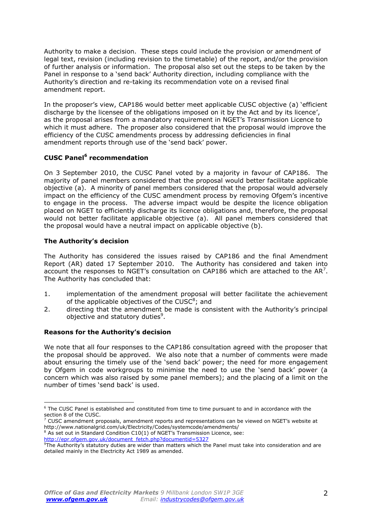Authority to make a decision. These steps could include the provision or amendment of legal text, revision (including revision to the timetable) of the report, and/or the provision of further analysis or information. The proposal also set out the steps to be taken by the Panel in response to a 'send back' Authority direction, including compliance with the Authority's direction and re-taking its recommendation vote on a revised final amendment report.

In the proposer's view, CAP186 would better meet applicable CUSC objective (a) 'efficient discharge by the licensee of the obligations imposed on it by the Act and by its licence', as the proposal arises from a mandatory requirement in NGET's Transmission Licence to which it must adhere. The proposer also considered that the proposal would improve the efficiency of the CUSC amendments process by addressing deficiencies in final amendment reports through use of the 'send back' power.

# **CUSC Panel<sup>6</sup> recommendation**

On 3 September 2010, the CUSC Panel voted by a majority in favour of CAP186. The majority of panel members considered that the proposal would better facilitate applicable objective (a). A minority of panel members considered that the proposal would adversely impact on the efficiency of the CUSC amendment process by removing Ofgem's incentive to engage in the process. The adverse impact would be despite the licence obligation placed on NGET to efficiently discharge its licence obligations and, therefore, the proposal would not better facilitate applicable objective (a). All panel members considered that the proposal would have a neutral impact on applicable objective (b).

# **The Authority's decision**

The Authority has considered the issues raised by CAP186 and the final Amendment Report (AR) dated 17 September 2010. The Authority has considered and taken into account the responses to NGET's consultation on CAP186 which are attached to the AR<sup>7</sup>. The Authority has concluded that:

- 1. implementation of the amendment proposal will better facilitate the achievement of the applicable objectives of the CUSC<sup>8</sup>; and
- 2. directing that the amendment be made is consistent with the Authority's principal objective and statutory duties<sup>9</sup>.

## **Reasons for the Authority's decision**

We note that all four responses to the CAP186 consultation agreed with the proposer that the proposal should be approved. We also note that a number of comments were made about ensuring the timely use of the 'send back' power; the need for more engagement by Ofgem in code workgroups to minimise the need to use the 'send back' power (a concern which was also raised by some panel members); and the placing of a limit on the number of times 'send back' is used.

<sup>6</sup> The CUSC Panel is established and constituted from time to time pursuant to and in accordance with the section 8 of the CUSC.

 $^7$  CUSC amendment proposals, amendment reports and representations can be viewed on NGET's website at http://www.nationalgrid.com/uk/Electricity/Codes/systemcode/amendments/

<sup>&</sup>lt;sup>8</sup> As set out in Standard Condition C10(1) of NGET's Transmission Licence, see:

[http://epr.ofgem.gov.uk/document\\_fetch.php?documentid=5327](http://epr.ofgem.gov.uk/document_fetch.php?documentid=5327)

 $9$ The Authority's statutory duties are wider than matters which the Panel must take into consideration and are detailed mainly in the Electricity Act 1989 as amended.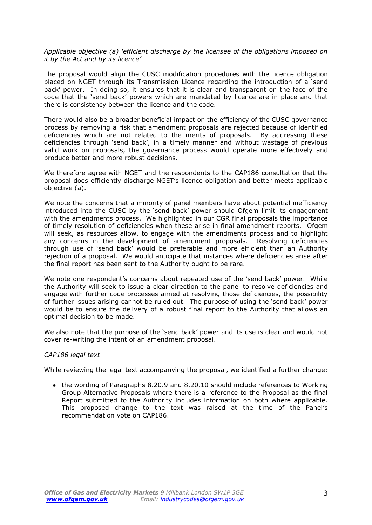*Applicable objective (a) "efficient discharge by the licensee of the obligations imposed on it by the Act and by its licence"*

The proposal would align the CUSC modification procedures with the licence obligation placed on NGET through its Transmission Licence regarding the introduction of a 'send back' power. In doing so, it ensures that it is clear and transparent on the face of the code that the 'send back' powers which are mandated by licence are in place and that there is consistency between the licence and the code.

There would also be a broader beneficial impact on the efficiency of the CUSC governance process by removing a risk that amendment proposals are rejected because of identified deficiencies which are not related to the merits of proposals. By addressing these deficiencies through 'send back', in a timely manner and without wastage of previous valid work on proposals, the governance process would operate more effectively and produce better and more robust decisions.

We therefore agree with NGET and the respondents to the CAP186 consultation that the proposal does efficiently discharge NGET's licence obligation and better meets applicable objective (a).

We note the concerns that a minority of panel members have about potential inefficiency introduced into the CUSC by the 'send back' power should Ofgem limit its engagement with the amendments process. We highlighted in our CGR final proposals the importance of timely resolution of deficiencies when these arise in final amendment reports. Ofgem will seek, as resources allow, to engage with the amendments process and to highlight any concerns in the development of amendment proposals. Resolving deficiencies through use of 'send back' would be preferable and more efficient than an Authority rejection of a proposal. We would anticipate that instances where deficiencies arise after the final report has been sent to the Authority ought to be rare.

We note one respondent's concerns about repeated use of the 'send back' power. While the Authority will seek to issue a clear direction to the panel to resolve deficiencies and engage with further code processes aimed at resolving those deficiencies, the possibility of further issues arising cannot be ruled out. The purpose of using the 'send back' power would be to ensure the delivery of a robust final report to the Authority that allows an optimal decision to be made.

We also note that the purpose of the 'send back' power and its use is clear and would not cover re-writing the intent of an amendment proposal.

#### *CAP186 legal text*

While reviewing the legal text accompanying the proposal, we identified a further change:

• the wording of Paragraphs 8.20.9 and 8.20.10 should include references to Working Group Alternative Proposals where there is a reference to the Proposal as the final Report submitted to the Authority includes information on both where applicable. This proposed change to the text was raised at the time of the Panel's recommendation vote on CAP186.